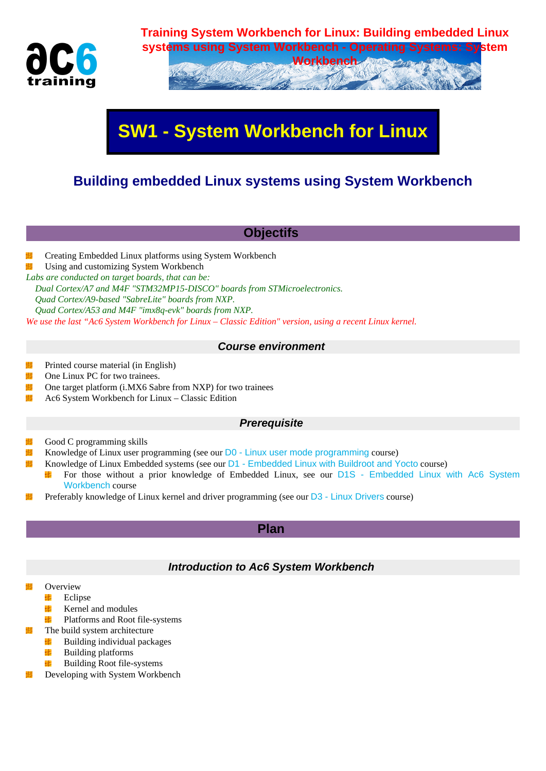

# **systems using System Workbench - Operating Systems: System Workbench**

# **SW1 - System Workbench for Linux**

## **Building embedded Linux systems using System Workbench**

### **Objectifs**

鞹 Creating Embedded Linux platforms using System Workbench

Using and customizing System Workbench 鞹

*Labs are conducted on target boards, that can be: Dual Cortex/A7 and M4F "STM32MP15-DISCO" boards from STMicroelectronics. Quad Cortex/A9-based "SabreLite" boards from NXP.*

 *Quad Cortex/A53 and M4F "imx8q-evk" boards from NXP.*

*We use the last "Ac6 System Workbench for Linux – Classic Edition" version, using a recent Linux kernel.*

#### **Course environment**

- 塴 Printed course material (in English)
- 塴 One Linux PC for two trainees.
- 塴 One target platform (i.MX6 Sabre from NXP) for two trainees
- 塴 Ac6 System Workbench for Linux – Classic Edition

#### **Prerequisite**

- Good C programming skills 瞒
- Knowledge of Linux user programming (see our D0 Linux user mode programming course) 鞹
- 鞹 Knowledge of Linux Embedded systems (see our D1 - Embedded Linux with Buildroot and Yocto course)
	- For those without a prior knowledge of Embedded Linux, see our D1S Embedded Linux with Ac6 System ц. Workbench course
- Preferably knowledge of Linux kernel and drive[r programming \(see our](https://www.ac6-training.com/cours.php?cat=LINUX&ref=D0) D3 Linux Drivers course) 貓

#### **Plan**

#### **Introduction to Ac6 System Workbench**

- **Overview** 
	- Eclipse P.
	- 毕 Kernel and modules
	- Platforms and Root file-systems ц.
	- The build system architecture
		- Building individual packages ЧB.
		- 毕 Building platforms
	- H. Building Root file-systems
- Developing with System Workbench雦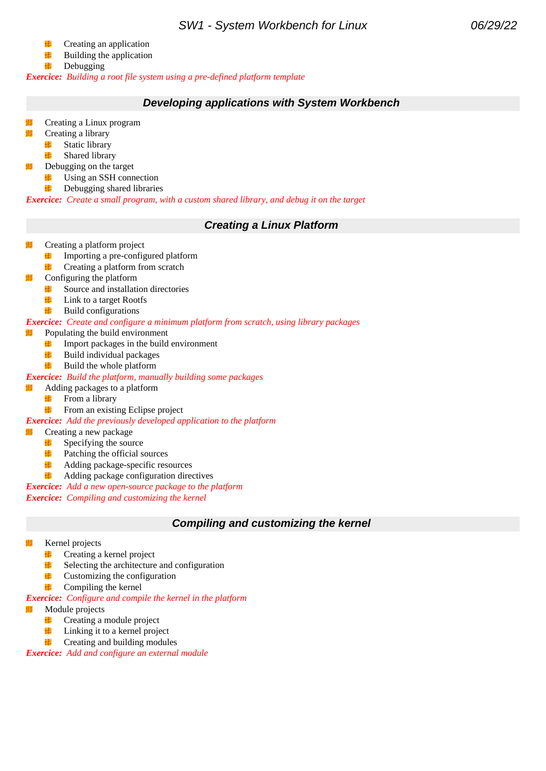- 醒 Creating an application
- 硅 Building the application
- e <mark>e</mark> Debugging

*Exercice: Building a root file system using a pre-defined platform template*

#### **Developing applications with System Workbench**

- Creating a Linux program
- 镾 Creating a library
	- $\mathcal{L}=\frac{1}{2}$ Static library
	- 鲜 Shared library
- Debugging on the target
	- Using an SSH connection H.
	- Debugging shared libraries **E PE**

*Exercice: Create a small program, with a custom shared library, and debug it on the target*

#### **Creating a Linux Platform**

- Creating a platform project
	- Importing a pre-configured platform **SEPTE**
	- **Creating a platform from scratch**
- Configuring the platform 蝿
	- Source and installation directories
	- $\blacksquare$  Link to a target Rootfs
	- $\blacksquare$  Build configurations

*Exercice: Create and configure a minimum platform from scratch, using library packages*

- 啪 Populating the build environment
	- **E PE** Import packages in the build environment
	- **Build individual packages**
	- $\blacksquare$  Build the whole platform

#### *Exercice: Build the platform, manually building some packages*

- 蝿 Adding packages to a platform
	- **From a library**
	- **From an existing Eclipse project**

*Exercice: Add the previously developed application to the platform*

#### Creating a new package

- $S$ pecifying the source
- **Patching the official sources**
- **Adding package-specific resources**
- **SIMPLE** Adding package configuration directives

*Exercice: Add a new open-source package to the platform*

*Exercice: Compiling and customizing the kernel*

#### **Compiling and customizing the kernel**

- Kernel projects
	- **Creating a kernel project**
	- 硅 Selecting the architecture and configuration
	- 硅 Customizing the configuration
	- 42 Compiling the kernel

*Exercice: Configure and compile the kernel in the platform*

- Module projects
	- **Participants** Creating a module project
	- e pr Linking it to a kernel project
	- **Creating and building modules**

*Exercice: Add and configure an external module*